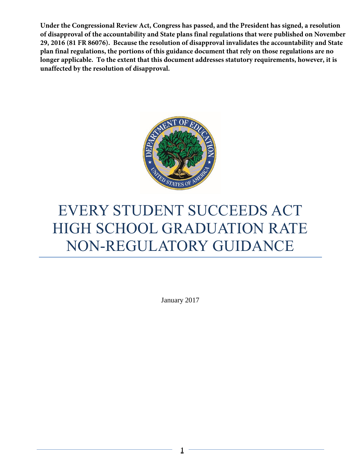**Under the Congressional Review Act, Congress has passed, and the President has signed, a resolution of disapproval of the accountability and State plans final regulations that were published on November 29, 2016 (81 FR 86076). Because the resolution of disapproval invalidates the accountability and State plan final regulations, the portions of this guidance document that rely on those regulations are no longer applicable. To the extent that this document addresses statutory requirements, however, it is unaffected by the resolution of disapproval.**



# EVERY STUDENT SUCCEEDS ACT HIGH SCHOOL GRADUATION RATE NON-REGULATORY GUIDANCE

January 2017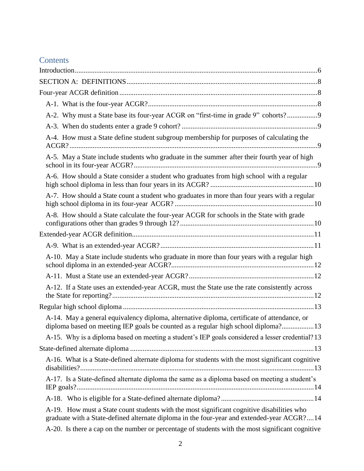# **Contents**

| A-2. Why must a State base its four-year ACGR on "first-time in grade 9" cohorts?9                                                                                                       |
|------------------------------------------------------------------------------------------------------------------------------------------------------------------------------------------|
|                                                                                                                                                                                          |
| A-4. How must a State define student subgroup membership for purposes of calculating the                                                                                                 |
| A-5. May a State include students who graduate in the summer after their fourth year of high                                                                                             |
| A-6. How should a State consider a student who graduates from high school with a regular                                                                                                 |
| A-7. How should a State count a student who graduates in more than four years with a regular                                                                                             |
| A-8. How should a State calculate the four-year ACGR for schools in the State with grade                                                                                                 |
|                                                                                                                                                                                          |
|                                                                                                                                                                                          |
| A-10. May a State include students who graduate in more than four years with a regular high                                                                                              |
|                                                                                                                                                                                          |
| A-12. If a State uses an extended-year ACGR, must the State use the rate consistently across                                                                                             |
|                                                                                                                                                                                          |
| A-14. May a general equivalency diploma, alternative diploma, certificate of attendance, or<br>diploma based on meeting IEP goals be counted as a regular high school diploma?13         |
| A-15. Why is a diploma based on meeting a student's IEP goals considered a lesser credential? 13                                                                                         |
|                                                                                                                                                                                          |
| A-16. What is a State-defined alternate diploma for students with the most significant cognitive                                                                                         |
| A-17. Is a State-defined alternate diploma the same as a diploma based on meeting a student's                                                                                            |
|                                                                                                                                                                                          |
| A-19. How must a State count students with the most significant cognitive disabilities who<br>graduate with a State-defined alternate diploma in the four-year and extended-year ACGR?14 |
| A-20. Is there a cap on the number or percentage of students with the most significant cognitive                                                                                         |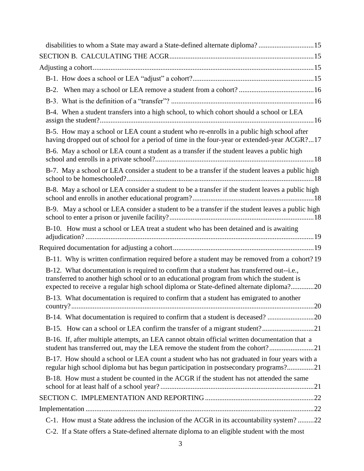| disabilities to whom a State may award a State-defined alternate diploma?15                                                                                                                                                                                                       |  |
|-----------------------------------------------------------------------------------------------------------------------------------------------------------------------------------------------------------------------------------------------------------------------------------|--|
|                                                                                                                                                                                                                                                                                   |  |
|                                                                                                                                                                                                                                                                                   |  |
|                                                                                                                                                                                                                                                                                   |  |
|                                                                                                                                                                                                                                                                                   |  |
|                                                                                                                                                                                                                                                                                   |  |
| B-4. When a student transfers into a high school, to which cohort should a school or LEA                                                                                                                                                                                          |  |
| B-5. How may a school or LEA count a student who re-enrolls in a public high school after<br>having dropped out of school for a period of time in the four-year or extended-year ACGR?17                                                                                          |  |
| B-6. May a school or LEA count a student as a transfer if the student leaves a public high                                                                                                                                                                                        |  |
| B-7. May a school or LEA consider a student to be a transfer if the student leaves a public high                                                                                                                                                                                  |  |
| B-8. May a school or LEA consider a student to be a transfer if the student leaves a public high                                                                                                                                                                                  |  |
| B-9. May a school or LEA consider a student to be a transfer if the student leaves a public high                                                                                                                                                                                  |  |
| B-10. How must a school or LEA treat a student who has been detained and is awaiting                                                                                                                                                                                              |  |
|                                                                                                                                                                                                                                                                                   |  |
| B-11. Why is written confirmation required before a student may be removed from a cohort? 19                                                                                                                                                                                      |  |
| B-12. What documentation is required to confirm that a student has transferred out--i.e.,<br>transferred to another high school or to an educational program from which the student is<br>expected to receive a regular high school diploma or State-defined alternate diploma?20 |  |
| B-13. What documentation is required to confirm that a student has emigrated to another                                                                                                                                                                                           |  |
| B-14. What documentation is required to confirm that a student is deceased?                                                                                                                                                                                                       |  |
| B-15. How can a school or LEA confirm the transfer of a migrant student?21                                                                                                                                                                                                        |  |
| B-16. If, after multiple attempts, an LEA cannot obtain official written documentation that a<br>student has transferred out, may the LEA remove the student from the cohort?21                                                                                                   |  |
| B-17. How should a school or LEA count a student who has not graduated in four years with a<br>regular high school diploma but has begun participation in postsecondary programs?21                                                                                               |  |
| B-18. How must a student be counted in the ACGR if the student has not attended the same                                                                                                                                                                                          |  |
|                                                                                                                                                                                                                                                                                   |  |
|                                                                                                                                                                                                                                                                                   |  |
| C-1. How must a State address the inclusion of the ACGR in its accountability system?22                                                                                                                                                                                           |  |
| C-2. If a State offers a State-defined alternate diploma to an eligible student with the most                                                                                                                                                                                     |  |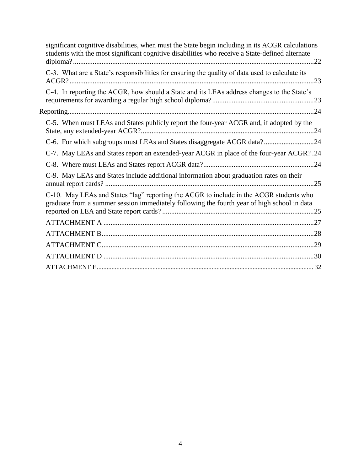| significant cognitive disabilities, when must the State begin including in its ACGR calculations<br>students with the most significant cognitive disabilities who receive a State-defined alternate |  |
|-----------------------------------------------------------------------------------------------------------------------------------------------------------------------------------------------------|--|
| C-3. What are a State's responsibilities for ensuring the quality of data used to calculate its                                                                                                     |  |
| C-4. In reporting the ACGR, how should a State and its LEAs address changes to the State's                                                                                                          |  |
|                                                                                                                                                                                                     |  |
| C-5. When must LEAs and States publicly report the four-year ACGR and, if adopted by the                                                                                                            |  |
| C-6. For which subgroups must LEAs and States disaggregate ACGR data?24                                                                                                                             |  |
| C-7. May LEAs and States report an extended-year ACGR in place of the four-year ACGR? .24                                                                                                           |  |
|                                                                                                                                                                                                     |  |
| C-9. May LEAs and States include additional information about graduation rates on their                                                                                                             |  |
| C-10. May LEAs and States "lag" reporting the ACGR to include in the ACGR students who<br>graduate from a summer session immediately following the fourth year of high school in data               |  |
|                                                                                                                                                                                                     |  |
|                                                                                                                                                                                                     |  |
|                                                                                                                                                                                                     |  |
|                                                                                                                                                                                                     |  |
|                                                                                                                                                                                                     |  |
|                                                                                                                                                                                                     |  |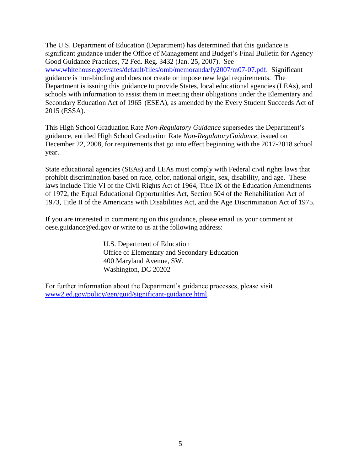The U.S. Department of Education (Department) has determined that this guidance is significant guidance under the Office of Management and Budget's Final Bulletin for Agency Good Guidance Practices, 72 Fed. Reg. 3432 (Jan. 25, 2007). See [www.whitehouse.gov/sites/default/files/omb/memoranda/fy2007/m07-07.pdf.](http://www.whitehouse.gov/sites/default/files/omb/memoranda/fy2007/m07-07.pdf) Significant guidance is non-binding and does not create or impose new legal requirements. The Department is issuing this guidance to provide States, local educational agencies (LEAs), and schools with information to assist them in meeting their obligations under the Elementary and Secondary Education Act of 1965 (ESEA), as amended by the Every Student Succeeds Act of 2015 (ESSA).

This High School Graduation Rate *Non-Regulatory Guidance* supersedes the Department's guidance, entitled High School Graduation Rate *Non-Regulatory Guidance*, issued on December 22, 2008, for requirements that go into effect beginning with the 2017-2018 school year.

State educational agencies (SEAs) and LEAs must comply with Federal civil rights laws that prohibit discrimination based on race, color, national origin, sex, disability, and age. These laws include Title VI of the Civil Rights Act of 1964, Title IX of the Education Amendments of 1972, the Equal Educational Opportunities Act, Section 504 of the Rehabilitation Act of 1973, Title II of the Americans with Disabilities Act, and the Age Discrimination Act of 1975.

If you are interested in commenting on this guidance, please email us your comment at oese.guidance@ed.gov or write to us at the following address:

> U.S. Department of Education Office of Elementary and Secondary Education 400 Maryland Avenue, SW. Washington, DC 20202

For further information about the Department's guidance processes, please visit [www2.ed.gov/policy/gen/guid/significant-guidance.html.](http://www2.ed.gov/policy/gen/guid/significant-guidance.html)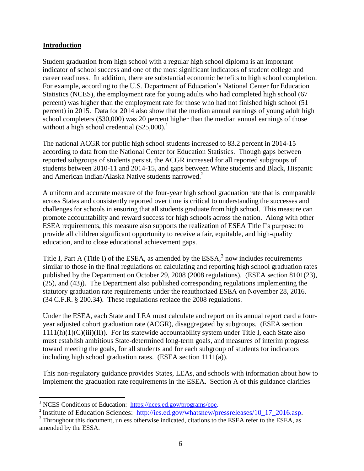#### <span id="page-5-0"></span>**Introduction**

Student graduation from high school with a regular high school diploma is an important indicator of school success and one of the most significant indicators of student college and career readiness. In addition, there are substantial economic benefits to high school completion. For example, according to the U.S. Department of Education's National Center for Education Statistics (NCES), the employment rate for young adults who had completed high school (67 percent) was higher than the employment rate for those who had not finished high school (51 percent) in 2015. Data for 2014 also show that the median annual earnings of young adult high school completers (\$30,000) was 20 percent higher than the median annual earnings of those without a high school credential  $(\$25,000)$ .<sup>1</sup>

The national ACGR for public high school students increased to 83.2 percent in 2014-15 according to data from the National Center for Education Statistics. Though gaps between reported subgroups of students persist, the ACGR increased for all reported subgroups of students between 2010-11 and 2014-15, and gaps between White students and Black, Hispanic and American Indian/Alaska Native students narrowed.<sup>2</sup>

A uniform and accurate measure of the four-year high school graduation rate that is comparable across States and consistently reported over time is critical to understanding the successes and challenges for schools in ensuring that all students graduate from high school. This measure can promote accountability and reward success for high schools across the nation. Along with other ESEA requirements, this measure also supports the realization of ESEA Title I's purpose: to provide all children significant opportunity to receive a fair, equitable, and high-quality education, and to close educational achievement gaps.

Title I, Part A (Title I) of the ESEA, as amended by the  $ESSA$ ,  $\delta$  now includes requirements similar to those in the final regulations on calculating and reporting high school graduation rates published by the Department on October 29, 2008 (2008 regulations). (ESEA section 8101(23), (25), and (43)). The Department also published corresponding regulations implementing the statutory graduation rate requirements under the reauthorized ESEA on November 28, 2016. (34 C.F.R. § 200.34). These regulations replace the 2008 regulations.

Under the ESEA, each State and LEA must calculate and report on its annual report card a fouryear adjusted cohort graduation rate (ACGR), disaggregated by subgroups. (ESEA section  $1111(h)(1)(C(iii)(II))$ . For its statewide accountability system under Title I, each State also must establish ambitious State-determined long-term goals, and measures of interim progress toward meeting the goals, for all students and for each subgroup of students for indicators including high school graduation rates. (ESEA section 1111(a)).

This non-regulatory guidance provides States, LEAs, and schools with information about how to implement the graduation rate requirements in the ESEA. Section A of this guidance clarifies

 $\overline{a}$ 

<sup>1</sup> NCES Conditions of Education: [https://nces.ed.gov/programs/coe.](https://nces.ed.gov/programs/coe)

<sup>&</sup>lt;sup>2</sup> Institute of Education Sciences: [http://ies.ed.gov/whatsnew/pressreleases/10\\_17\\_2016.asp.](http://ies.ed.gov/whatsnew/pressreleases/10_17_2016.asp)

<sup>&</sup>lt;sup>3</sup> Throughout this document, unless otherwise indicated, citations to the ESEA refer to the ESEA, as amended by the ESSA.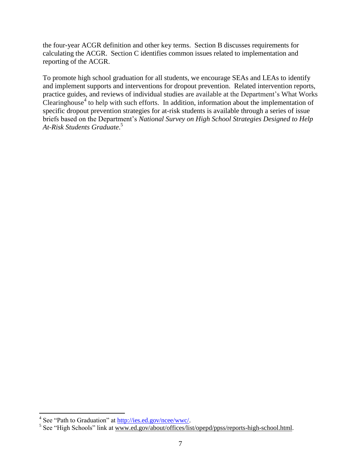the four-year ACGR definition and other key terms. Section B discusses requirements for calculating the ACGR. Section C identifies common issues related to implementation and reporting of the ACGR.

<span id="page-6-0"></span>To promote high school graduation for all students, we encourage SEAs and LEAs to identify and implement supports and interventions for dropout prevention. Related intervention reports, practice guides, and reviews of individual studies are available at the Department's What Works Clearinghouse<sup>4</sup> to help with such efforts. In addition, information about the implementation of specific dropout prevention strategies for at-risk students is available through a series of issue briefs based on the Department's *National Survey on High School Strategies Designed to Help At-Risk Students Graduate*. 5

<sup>&</sup>lt;sup>4</sup> See "Path to Graduation" at [http://ies.ed.gov/ncee/wwc/.](http://ies.ed.gov/ncee/wwc/)

<sup>&</sup>lt;sup>5</sup> See "High Schools" link at [www.ed.gov/about/offices/list/opepd/ppss/reports-high-school.html.](http://www.ed.gov/about/offices/list/opepd/ppss/reports-high-school.html)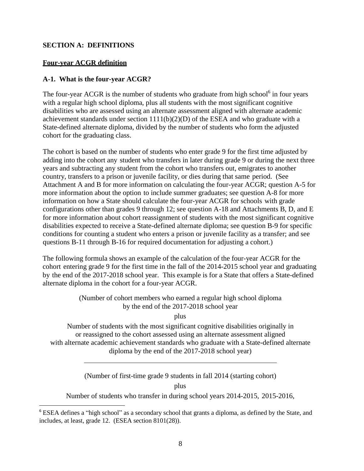#### **SECTION A: DEFINITIONS**

#### <span id="page-7-0"></span>**Four-year ACGR definition**

l

#### <span id="page-7-1"></span>**A-1. What is the four-year ACGR?**

The four-year ACGR is the number of students who graduate from high school $<sup>6</sup>$  in four years</sup> with a regular high school diploma, plus all students with the most significant cognitive disabilities who are assessed using an alternate assessment aligned with alternate academic achievement standards under section  $1111(b)(2)(D)$  of the ESEA and who graduate with a State-defined alternate diploma, divided by the number of students who form the adjusted cohort for the graduating class.

The cohort is based on the number of students who enter grade 9 for the first time adjusted by adding into the cohort any student who transfers in later during grade 9 or during the next three years and subtracting any student from the cohort who transfers out, emigrates to another country, transfers to a prison or juvenile facility, or dies during that same period. (See Attachment A and B for more information on calculating the four-year ACGR; question A-5 for more information about the option to include summer graduates; see question A-8 for more information on how a State should calculate the four-year ACGR for schools with grade configurations other than grades 9 through 12; see question A-18 and Attachments B, D, and E for more information about cohort reassignment of students with the most significant cognitive disabilities expected to receive a State-defined alternate diploma; see question B-9 for specific conditions for counting a student who enters a prison or juvenile facility as a transfer; and see questions B-11 through B-16 for required documentation for adjusting a cohort.)

The following formula shows an example of the calculation of the four-year ACGR for the cohort entering grade 9 for the first time in the fall of the 2014-2015 school year and graduating by the end of the 2017-2018 school year. This example is for a State that offers a State-defined alternate diploma in the cohort for a four-year ACGR.

> (Number of cohort members who earned a regular high school diploma by the end of the 2017-2018 school year

> > plus

Number of students with the most significant cognitive disabilities originally in or reassigned to the cohort assessed using an alternate assessment aligned with alternate academic achievement standards who graduate with a State-defined alternate diploma by the end of the 2017-2018 school year)

(Number of first-time grade 9 students in fall 2014 (starting cohort)

plus

Number of students who transfer in during school years 2014-2015, 2015-2016,

<sup>&</sup>lt;sup>6</sup> ESEA defines a "high school" as a secondary school that grants a diploma, as defined by the State, and includes, at least, grade 12. (ESEA section 8101(28)).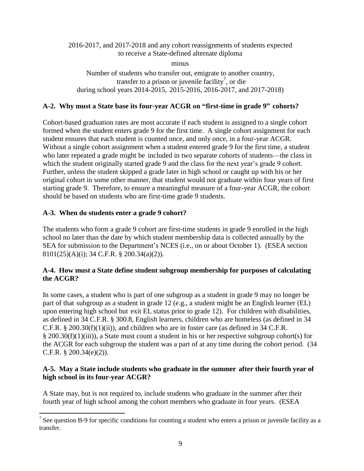#### 2016-2017, and 2017-2018 and any cohort reassignments of students expected to receive a State-defined alternate diploma

minus

Number of students who transfer out, emigrate to another country, transfer to a prison or juvenile facility<sup>7</sup>, or die during school years 2014-2015, 2015-2016, 2016-2017, and 2017-2018)

#### <span id="page-8-0"></span>**A-2. Why must a State base its four-year ACGR on "first-time in grade 9" cohorts?**

Cohort-based graduation rates are most accurate if each student is assigned to a single cohort formed when the student enters grade 9 for the first time. A single cohort assignment for each student ensures that each student is counted once, and only once, in a four-year ACGR. Without a single cohort assignment when a student entered grade 9 for the first time, a student who later repeated a grade might be included in two separate cohorts of students—the class in which the student originally started grade 9 and the class for the next year's grade 9 cohort. Further, unless the student skipped a grade later in high school or caught up with his or her original cohort in some other manner, that student would not graduate within four years of first starting grade 9. Therefore, to ensure a meaningful measure of a four-year ACGR, the cohort should be based on students who are first-time grade 9 students.

#### <span id="page-8-1"></span>**A-3. When do students enter a grade 9 cohort?**

 $\overline{\phantom{a}}$ 

The students who form a grade 9 cohort are first-time students in grade 9 enrolled in the high school no later than the date by which student membership data is collected annually by the SEA for submission to the Department's NCES (i.e., on or about October 1). (ESEA section 8101(25)(A)(i); 34 C.F.R. § 200.34(a)(2)).

## <span id="page-8-2"></span>**A-4. How must a State define student subgroup membership for purposes of calculating the ACGR?**

In some cases, a student who is part of one subgroup as a student in grade 9 may no longer be part of that subgroup as a student in grade 12 (e.g., a student might be an English learner (EL) upon entering high school but exit EL status prior to grade 12). For children with disabilities, as defined in 34 C.F.R. § 300.8, English learners, children who are homeless (as defined in 34 C.F.R. § 200.30(f)(1)(ii)), and children who are in foster care (as defined in 34 C.F.R. § 200.30(f)(1)(iii)), a State must count a student in his or her respective subgroup cohort(s) for the ACGR for each subgroup the student was a part of at any time during the cohort period. (34 C.F.R. § 200.34(e)(2)).

## <span id="page-8-3"></span>**A-5. May a State include students who graduate in the summer after their fourth year of high school in its four-year ACGR?**

A State may, but is not required to, include students who graduate in the summer after their fourth year of high school among the cohort members who graduate in four years. (ESEA

<sup>&</sup>lt;sup>7</sup> See question B-9 for specific conditions for counting a student who enters a prison or juvenile facility as a transfer.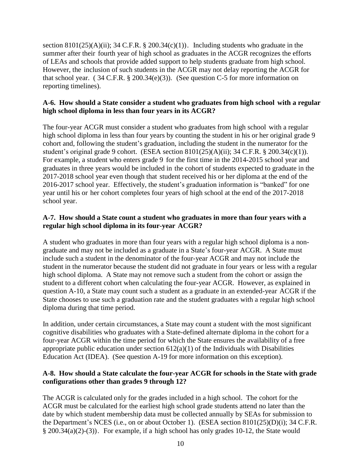section  $8101(25)(A)(ii)$ ; 34 C.F.R. § 200.34(c)(1)). Including students who graduate in the summer after their fourth year of high school as graduates in the ACGR recognizes the efforts of LEAs and schools that provide added support to help students graduate from high school. However, the inclusion of such students in the ACGR may not delay reporting the ACGR for that school year. (34 C.F.R.  $\S$  200.34(e)(3)). (See question C-5 for more information on reporting timelines).

#### <span id="page-9-0"></span>**A-6. How should a State consider a student who graduates from high school with a regular high school diploma in less than four years in its ACGR?**

The four-year ACGR must consider a student who graduates from high school with a regular high school diploma in less than four years by counting the student in his or her original grade 9 cohort and, following the student's graduation, including the student in the numerator for the student's original grade 9 cohort. (ESEA section  $8101(25)(A)(ii)$ ; 34 C.F.R. § 200.34(c)(1)). For example, a student who enters grade 9 for the first time in the 2014-2015 school year and graduates in three years would be included in the cohort of students expected to graduate in the 2017-2018 school year even though that student received his or her diploma at the end of the 2016-2017 school year. Effectively, the student's graduation information is "banked" for one year until his or her cohort completes four years of high school at the end of the 2017-2018 school year.

#### <span id="page-9-1"></span>**A-7. How should a State count a student who graduates in more than four years with a regular high school diploma in its four-year ACGR?**

A student who graduates in more than four years with a regular high school diploma is a nongraduate and may not be included as a graduate in a State's four-year ACGR. A State must include such a student in the denominator of the four-year ACGR and may not include the student in the numerator because the student did not graduate in four years or less with a regular high school diploma. A State may not remove such a student from the cohort or assign the student to a different cohort when calculating the four-year ACGR. However, as explained in question A-10, a State may count such a student as a graduate in an extended-year ACGR if the State chooses to use such a graduation rate and the student graduates with a regular high school diploma during that time period.

In addition, under certain circumstances, a State may count a student with the most significant cognitive disabilities who graduates with a State-defined alternate diploma in the cohort for a four-year ACGR within the time period for which the State ensures the availability of a free appropriate public education under section  $612(a)(1)$  of the Individuals with Disabilities Education Act (IDEA). (See question A-19 for more information on this exception).

#### <span id="page-9-2"></span>**A-8. How should a State calculate the four-year ACGR for schools in the State with grade configurations other than grades 9 through 12?**

The ACGR is calculated only for the grades included in a high school. The cohort for the ACGR must be calculated for the earliest high school grade students attend no later than the date by which student membership data must be collected annually by SEAs for submission to the Department's NCES (i.e., on or about October 1). (ESEA section 8101(25)(D)(i); 34 C.F.R. § 200.34(a)(2)-(3)). For example, if a high school has only grades 10-12, the State would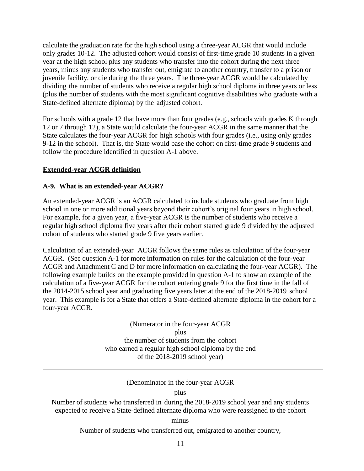calculate the graduation rate for the high school using a three-year ACGR that would include only grades 10-12. The adjusted cohort would consist of first-time grade 10 students in a given year at the high school plus any students who transfer into the cohort during the next three years, minus any students who transfer out, emigrate to another country, transfer to a prison or juvenile facility, or die during the three years. The three-year ACGR would be calculated by dividing the number of students who receive a regular high school diploma in three years or less (plus the number of students with the most significant cognitive disabilities who graduate with a State-defined alternate diploma) by the adjusted cohort.

For schools with a grade 12 that have more than four grades (e.g., schools with grades K through 12 or 7 through 12), a State would calculate the four-year ACGR in the same manner that the State calculates the four-year ACGR for high schools with four grades (i.e., using only grades 9-12 in the school). That is, the State would base the cohort on first-time grade 9 students and follow the procedure identified in question A-1 above.

#### <span id="page-10-0"></span>**Extended-year ACGR definition**

#### <span id="page-10-1"></span>**A-9. What is an extended-year ACGR?**

An extended-year ACGR is an ACGR calculated to include students who graduate from high school in one or more additional years beyond their cohort's original four years in high school. For example, for a given year, a five-year ACGR is the number of students who receive a regular high school diploma five years after their cohort started grade 9 divided by the adjusted cohort of students who started grade 9 five years earlier.

Calculation of an extended-year ACGR follows the same rules as calculation of the four-year ACGR. (See question A-1 for more information on rules for the calculation of the four-year ACGR and Attachment C and D for more information on calculating the four-year ACGR). The following example builds on the example provided in question A-1 to show an example of the calculation of a five-year ACGR for the cohort entering grade 9 for the first time in the fall of the 2014-2015 school year and graduating five years later at the end of the 2018-2019 school year. This example is for a State that offers a State-defined alternate diploma in the cohort for a four-year ACGR.

> (Numerator in the four-year ACGR plus the number of students from the cohort who earned a regular high school diploma by the end of the 2018-2019 school year)

## (Denominator in the four-year ACGR

plus

Number of students who transferred in during the 2018-2019 school year and any students expected to receive a State-defined alternate diploma who were reassigned to the cohort

minus

Number of students who transferred out, emigrated to another country,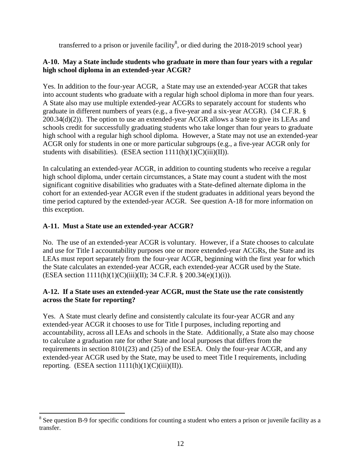transferred to a prison or juvenile facility<sup>8</sup>, or died during the 2018-2019 school year)

## <span id="page-11-0"></span>**A-10. May a State include students who graduate in more than four years with a regular high school diploma in an extended-year ACGR?**

Yes. In addition to the four-year ACGR, a State may use an extended-year ACGR that takes into account students who graduate with a regular high school diploma in more than four years. A State also may use multiple extended-year ACGRs to separately account for students who graduate in different numbers of years (e.g., a five-year and a six-year ACGR). (34 C.F.R. § 200.34(d)(2)). The option to use an extended-year ACGR allows a State to give its LEAs and schools credit for successfully graduating students who take longer than four years to graduate high school with a regular high school diploma. However, a State may not use an extended-year ACGR only for students in one or more particular subgroups (e.g., a five-year ACGR only for students with disabilities). (ESEA section  $1111(h)(1)(C)(iii)(II)$ ).

In calculating an extended-year ACGR, in addition to counting students who receive a regular high school diploma, under certain circumstances, a State may count a student with the most significant cognitive disabilities who graduates with a State-defined alternate diploma in the cohort for an extended-year ACGR even if the student graduates in additional years beyond the time period captured by the extended-year ACGR. See question A-18 for more information on this exception.

# <span id="page-11-1"></span>**A-11. Must a State use an extended-year ACGR?**

 $\overline{\phantom{a}}$ 

No. The use of an extended-year ACGR is voluntary. However, if a State chooses to calculate and use for Title I accountability purposes one or more extended-year ACGRs, the State and its LEAs must report separately from the four-year ACGR, beginning with the first year for which the State calculates an extended-year ACGR, each extended-year ACGR used by the State. (ESEA section 1111(h)(1)(C)(iii)(II); 34 C.F.R. § 200.34(e)(1)(i)).

## <span id="page-11-2"></span>**A-12. If a State uses an extended-year ACGR, must the State use the rate consistently across the State for reporting?**

Yes. A State must clearly define and consistently calculate its four-year ACGR and any extended-year ACGR it chooses to use for Title I purposes, including reporting and accountability, across all LEAs and schools in the State. Additionally, a State also may choose to calculate a graduation rate for other State and local purposes that differs from the requirements in section 8101(23) and (25) of the ESEA. Only the four-year ACGR, and any extended-year ACGR used by the State, may be used to meet Title I requirements, including reporting. (ESEA section  $1111(h)(1)(C(iii)(II))$ .

<sup>&</sup>lt;sup>8</sup> See question B-9 for specific conditions for counting a student who enters a prison or juvenile facility as a transfer.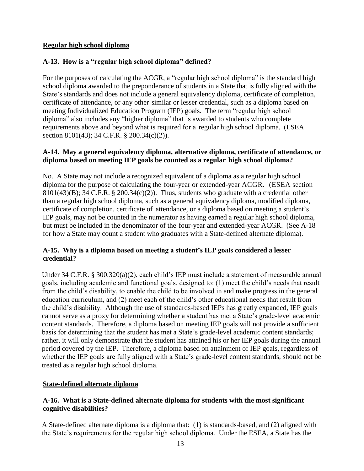#### <span id="page-12-0"></span>**Regular high school diploma**

## **A-13. How is a "regular high school diploma" defined?**

For the purposes of calculating the ACGR, a "regular high school diploma" is the standard high school diploma awarded to the preponderance of students in a State that is fully aligned with the State's standards and does not include a general equivalency diploma, certificate of completion, certificate of attendance, or any other similar or lesser credential, such as a diploma based on meeting Individualized Education Program (IEP) goals. The term "regular high school diploma" also includes any "higher diploma" that is awarded to students who complete requirements above and beyond what is required for a regular high school diploma. (ESEA section 8101(43); 34 C.F.R. § 200.34(c)(2)).

#### <span id="page-12-1"></span>**A-14. May a general equivalency diploma, alternative diploma, certificate of attendance, or diploma based on meeting IEP goals be counted as a regular high school diploma?**

No. A State may not include a recognized equivalent of a diploma as a regular high school diploma for the purpose of calculating the four-year or extended-year ACGR. (ESEA section 8101(43)(B); 34 C.F.R. § 200.34(c)(2)). Thus, students who graduate with a credential other than a regular high school diploma, such as a general equivalency diploma, modified diploma, certificate of completion, certificate of attendance, or a diploma based on meeting a student's IEP goals, may not be counted in the numerator as having earned a regular high school diploma, but must be included in the denominator of the four-year and extended-year ACGR. (See A-18 for how a State may count a student who graduates with a State-defined alternate diploma).

## <span id="page-12-2"></span>**A-15. Why is a diploma based on meeting a student's IEP goals considered a lesser credential?**

Under 34 C.F.R. § 300.320(a)(2), each child's IEP must include a statement of measurable annual goals, including academic and functional goals, designed to: (1) meet the child's needs that result from the child's disability, to enable the child to be involved in and make progress in the general education curriculum, and (2) meet each of the child's other educational needs that result from the child's disability. Although the use of standards-based IEPs has greatly expanded, IEP goals cannot serve as a proxy for determining whether a student has met a State's grade-level academic content standards. Therefore, a diploma based on meeting IEP goals will not provide a sufficient basis for determining that the student has met a State's grade-level academic content standards; rather, it will only demonstrate that the student has attained his or her IEP goals during the annual period covered by the IEP. Therefore, a diploma based on attainment of IEP goals, regardless of whether the IEP goals are fully aligned with a State's grade-level content standards, should not be treated as a regular high school diploma.

## <span id="page-12-3"></span>**State-defined alternate diploma**

## <span id="page-12-4"></span>**A-16. What is a State-defined alternate diploma for students with the most significant cognitive disabilities?**

A State-defined alternate diploma is a diploma that: (1) is standards-based, and (2) aligned with the State's requirements for the regular high school diploma. Under the ESEA, a State has the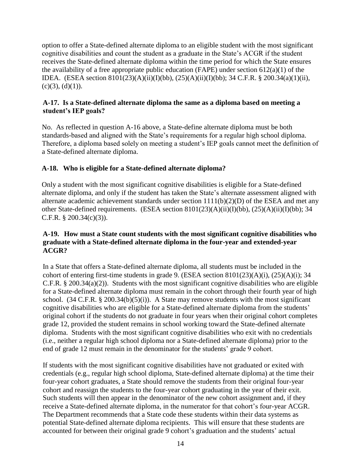option to offer a State-defined alternate diploma to an eligible student with the most significant cognitive disabilities and count the student as a graduate in the State's ACGR if the student receives the State-defined alternate diploma within the time period for which the State ensures the availability of a free appropriate public education (FAPE) under section  $612(a)(1)$  of the IDEA. (ESEA section 8101(23)(A)(ii)(I)(bb), (25)(A)(ii)(I)(bb); 34 C.F.R. § 200.34(a)(1)(ii),  $(c)(3)$ ,  $(d)(1)$ ).

## <span id="page-13-0"></span>**A-17. Is a State-defined alternate diploma the same as a diploma based on meeting a student's IEP goals?**

No. As reflected in question A-16 above, a State-define alternate diploma must be both standards-based and aligned with the State's requirements for a regular high school diploma. Therefore, a diploma based solely on meeting a student's IEP goals cannot meet the definition of a State-defined alternate diploma.

# <span id="page-13-1"></span>**A-18. Who is eligible for a State-defined alternate diploma?**

Only a student with the most significant cognitive disabilities is eligible for a State-defined alternate diploma, and only if the student has taken the State's alternate assessment aligned with alternate academic achievement standards under section 1111(b)(2)(D) of the ESEA and met any other State-defined requirements. (ESEA section 8101(23)(A)(ii)(I)(bb), (25)(A)(ii)(I)(bb); 34 C.F.R. § 200.34(c)(3)).

## <span id="page-13-2"></span>**A-19. How must a State count students with the most significant cognitive disabilities who graduate with a State-defined alternate diploma in the four-year and extended-year ACGR?**

In a State that offers a State-defined alternate diploma, all students must be included in the cohort of entering first-time students in grade 9. (ESEA section 8101(23)(A)(i), (25)(A)(i); 34 C.F.R. § 200.34(a)(2)). Students with the most significant cognitive disabilities who are eligible for a State-defined alternate diploma must remain in the cohort through their fourth year of high school.  $(34 \text{ C.F.R.} \$   $(200.34(b)(5)(i))$ . A State may remove students with the most significant cognitive disabilities who are eligible for a State-defined alternate diploma from the students' original cohort if the students do not graduate in four years when their original cohort completes grade 12, provided the student remains in school working toward the State-defined alternate diploma. Students with the most significant cognitive disabilities who exit with no credentials (i.e., neither a regular high school diploma nor a State-defined alternate diploma) prior to the end of grade 12 must remain in the denominator for the students' grade 9 cohort.

If students with the most significant cognitive disabilities have not graduated or exited with credentials (e.g., regular high school diploma, State-defined alternate diploma) at the time their four-year cohort graduates, a State should remove the students from their original four-year cohort and reassign the students to the four-year cohort graduating in the year of their exit. Such students will then appear in the denominator of the new cohort assignment and, if they receive a State-defined alternate diploma, in the numerator for that cohort's four-year ACGR. The Department recommends that a State code these students within their data systems as potential State-defined alternate diploma recipients. This will ensure that these students are accounted for between their original grade 9 cohort's graduation and the students' actual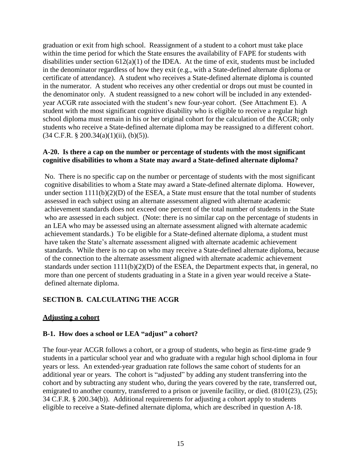graduation or exit from high school. Reassignment of a student to a cohort must take place within the time period for which the State ensures the availability of FAPE for students with disabilities under section  $612(a)(1)$  of the IDEA. At the time of exit, students must be included in the denominator regardless of how they exit (e.g., with a State-defined alternate diploma or certificate of attendance). A student who receives a State-defined alternate diploma is counted in the numerator. A student who receives any other credential or drops out must be counted in the denominator only. A student reassigned to a new cohort will be included in any extendedyear ACGR rate associated with the student's new four-year cohort. (See Attachment E). A student with the most significant cognitive disability who is eligible to receive a regular high school diploma must remain in his or her original cohort for the calculation of the ACGR; only students who receive a State-defined alternate diploma may be reassigned to a different cohort.  $(34 \text{ C.F.R. } § 200.34(a)(1)(ii), (b)(5)).$ 

#### <span id="page-14-0"></span>**A-20. Is there a cap on the number or percentage of students with the most significant cognitive disabilities to whom a State may award a State-defined alternate diploma?**

No. There is no specific cap on the number or percentage of students with the most significant cognitive disabilities to whom a State may award a State-defined alternate diploma. However, under section  $1111(b)(2)(D)$  of the ESEA, a State must ensure that the total number of students assessed in each subject using an alternate assessment aligned with alternate academic achievement standards does not exceed one percent of the total number of students in the State who are assessed in each subject. (Note: there is no similar cap on the percentage of students in an LEA who may be assessed using an alternate assessment aligned with alternate academic achievement standards.) To be eligible for a State-defined alternate diploma, a student must have taken the State's alternate assessment aligned with alternate academic achievement standards. While there is no cap on who may receive a State-defined alternate diploma, because of the connection to the alternate assessment aligned with alternate academic achievement standards under section  $1111(b)(2)(D)$  of the ESEA, the Department expects that, in general, no more than one percent of students graduating in a State in a given year would receive a Statedefined alternate diploma.

## <span id="page-14-1"></span>**SECTION B. CALCULATING THE ACGR**

#### <span id="page-14-2"></span>**Adjusting a cohort**

#### <span id="page-14-3"></span>**B-1. How does a school or LEA "adjust" a cohort?**

The four-year ACGR follows a cohort, or a group of students, who begin as first-time grade 9 students in a particular school year and who graduate with a regular high school diploma in four years or less. An extended-year graduation rate follows the same cohort of students for an additional year or years. The cohort is "adjusted" by adding any student transferring into the cohort and by subtracting any student who, during the years covered by the rate, transferred out, emigrated to another country, transferred to a prison or juvenile facility, or died. (8101(23), (25); 34 C.F.R. § 200.34(b)). Additional requirements for adjusting a cohort apply to students eligible to receive a State-defined alternate diploma, which are described in question A-18.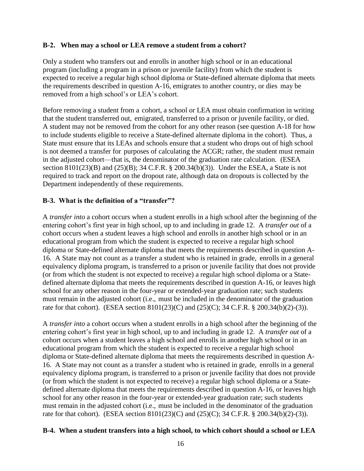#### <span id="page-15-0"></span>**B-2. When may a school or LEA remove a student from a cohort?**

Only a student who transfers out and enrolls in another high school or in an educational program (including a program in a prison or juvenile facility) from which the student is expected to receive a regular high school diploma or State-defined alternate diploma that meets the requirements described in question A-16, emigrates to another country, or dies may be removed from a high school's or LEA's cohort.

Before removing a student from a cohort, a school or LEA must obtain confirmation in writing that the student transferred out, emigrated, transferred to a prison or juvenile facility, or died. A student may not be removed from the cohort for any other reason (see question A-18 for how to include students eligible to receive a State-defined alternate diploma in the cohort). Thus, a State must ensure that its LEAs and schools ensure that a student who drops out of high school is not deemed a transfer for purposes of calculating the ACGR; rather, the student must remain in the adjusted cohort—that is, the denominator of the graduation rate calculation. (ESEA section  $8101(23)(B)$  and  $(25)(B)$ ; 34 C.F.R. § 200.34(b)(3)). Under the ESEA, a State is not required to track and report on the dropout rate, although data on dropouts is collected by the Department independently of these requirements.

## <span id="page-15-1"></span>**B-3. What is the definition of a "transfer"?**

A *transfer into* a cohort occurs when a student enrolls in a high school after the beginning of the entering cohort's first year in high school, up to and including in grade 12. A *transfer out* of a cohort occurs when a student leaves a high school and enrolls in another high school or in an educational program from which the student is expected to receive a regular high school diploma or State-defined alternate diploma that meets the requirements described in question A-16. A State may not count as a transfer a student who is retained in grade, enrolls in a general equivalency diploma program, is transferred to a prison or juvenile facility that does not provide (or from which the student is not expected to receive) a regular high school diploma or a Statedefined alternate diploma that meets the requirements described in question A-16, or leaves high school for any other reason in the four-year or extended-year graduation rate; such students must remain in the adjusted cohort (i.e., must be included in the denominator of the graduation rate for that cohort). (ESEA section 8101(23)(C) and (25)(C); 34 C.F.R. § 200.34(b)(2)-(3)).

A *transfer into* a cohort occurs when a student enrolls in a high school after the beginning of the entering cohort's first year in high school, up to and including in grade 12. A *transfer out* of a cohort occurs when a student leaves a high school and enrolls in another high school or in an educational program from which the student is expected to receive a regular high school diploma or State-defined alternate diploma that meets the requirements described in question A-16. A State may not count as a transfer a student who is retained in grade, enrolls in a general equivalency diploma program, is transferred to a prison or juvenile facility that does not provide (or from which the student is not expected to receive) a regular high school diploma or a Statedefined alternate diploma that meets the requirements described in question A-16, or leaves high school for any other reason in the four-year or extended-year graduation rate; such students must remain in the adjusted cohort (i.e., must be included in the denominator of the graduation rate for that cohort). (ESEA section 8101(23)(C) and (25)(C); 34 C.F.R. § 200.34(b)(2)-(3)).

#### <span id="page-15-2"></span>**B-4. When a student transfers into a high school, to which cohort should a school or LEA**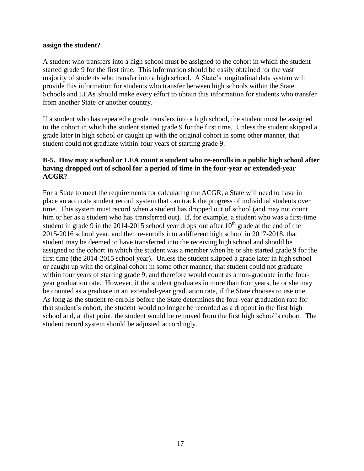#### **assign the student?**

A student who transfers into a high school must be assigned to the cohort in which the student started grade 9 for the first time. This information should be easily obtained for the vast majority of students who transfer into a high school. A State's longitudinal data system will provide this information for students who transfer between high schools within the State. Schools and LEAs should make every effort to obtain this information for students who transfer from another State or another country.

If a student who has repeated a grade transfers into a high school, the student must be assigned to the cohort in which the student started grade 9 for the first time. Unless the student skipped a grade later in high school or caught up with the original cohort in some other manner, that student could not graduate within four years of starting grade 9.

#### <span id="page-16-0"></span>**B-5. How may a school or LEA count a student who re-enrolls in a public high school after having dropped out of school for a period of time in the four-year or extended-year ACGR?**

For a State to meet the requirements for calculating the ACGR, a State will need to have in place an accurate student record system that can track the progress of individual students over time. This system must record when a student has dropped out of school (and may not count him or her as a student who has transferred out). If, for example, a student who was a first-time student in grade 9 in the 2014-2015 school year drops out after  $10<sup>th</sup>$  grade at the end of the 2015-2016 school year, and then re-enrolls into a different high school in 2017-2018, that student may be deemed to have transferred into the receiving high school and should be assigned to the cohort in which the student was a member when he or she started grade 9 for the first time (the 2014-2015 school year). Unless the student skipped a grade later in high school or caught up with the original cohort in some other manner, that student could not graduate within four years of starting grade 9, and therefore would count as a non-graduate in the fouryear graduation rate. However, if the student graduates in more than four years, he or she may be counted as a graduate in an extended-year graduation rate, if the State chooses to use one. As long as the student re-enrolls before the State determines the four-year graduation rate for that student's cohort, the student would no longer be recorded as a dropout in the first high school and, at that point, the student would be removed from the first high school's cohort. The student record system should be adjusted accordingly.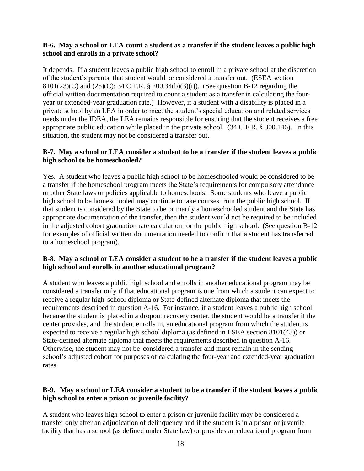#### <span id="page-17-0"></span>**B-6. May a school or LEA count a student as a transfer if the student leaves a public high school and enrolls in a private school?**

It depends. If a student leaves a public high school to enroll in a private school at the discretion of the student's parents, that student would be considered a transfer out. (ESEA section 8101(23)(C) and (25)(C); 34 C.F.R. § 200.34(b)(3)(i)). (See question B-12 regarding the official written documentation required to count a student as a transfer in calculating the fouryear or extended-year graduation rate.) However, if a student with a disability is placed in a private school by an LEA in order to meet the student's special education and related services needs under the IDEA, the LEA remains responsible for ensuring that the student receives a free appropriate public education while placed in the private school. (34 C.F.R. § 300.146). In this situation, the student may not be considered a transfer out.

## <span id="page-17-1"></span>**B-7. May a school or LEA consider a student to be a transfer if the student leaves a public high school to be homeschooled?**

Yes. A student who leaves a public high school to be homeschooled would be considered to be a transfer if the homeschool program meets the State's requirements for compulsory attendance or other State laws or policies applicable to homeschools. Some students who leave a public high school to be homeschooled may continue to take courses from the public high school. If that student is considered by the State to be primarily a homeschooled student and the State has appropriate documentation of the transfer, then the student would not be required to be included in the adjusted cohort graduation rate calculation for the public high school. (See question B-12 for examples of official written documentation needed to confirm that a student has transferred to a homeschool program).

#### <span id="page-17-2"></span>**B-8. May a school or LEA consider a student to be a transfer if the student leaves a public high school and enrolls in another educational program?**

A student who leaves a public high school and enrolls in another educational program may be considered a transfer only if that educational program is one from which a student can expect to receive a regular high school diploma or State-defined alternate diploma that meets the requirements described in question A-16. For instance, if a student leaves a public high school because the student is placed in a dropout recovery center, the student would be a transfer if the center provides, and the student enrolls in, an educational program from which the student is expected to receive a regular high school diploma (as defined in ESEA section 8101(43)) or State-defined alternate diploma that meets the requirements described in question A-16. Otherwise, the student may not be considered a transfer and must remain in the sending school's adjusted cohort for purposes of calculating the four-year and extended-year graduation rates.

## <span id="page-17-3"></span>**B-9. May a school or LEA consider a student to be a transfer if the student leaves a public high school to enter a prison or juvenile facility?**

A student who leaves high school to enter a prison or juvenile facility may be considered a transfer only after an adjudication of delinquency and if the student is in a prison or juvenile facility that has a school (as defined under State law) or provides an educational program from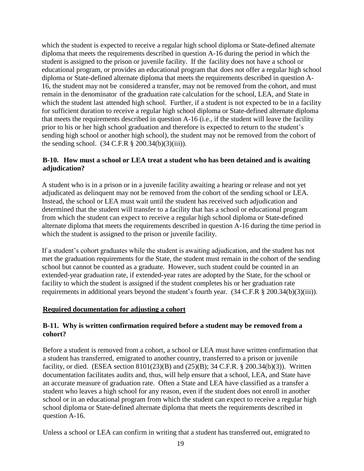which the student is expected to receive a regular high school diploma or State-defined alternate diploma that meets the requirements described in question A-16 during the period in which the student is assigned to the prison or juvenile facility. If the facility does not have a school or educational program, or provides an educational program that does not offer a regular high school diploma or State-defined alternate diploma that meets the requirements described in question A-16, the student may not be considered a transfer, may not be removed from the cohort, and must remain in the denominator of the graduation rate calculation for the school, LEA, and State in which the student last attended high school. Further, if a student is not expected to be in a facility for sufficient duration to receive a regular high school diploma or State-defined alternate diploma that meets the requirements described in question A-16 (i.e., if the student will leave the facility prior to his or her high school graduation and therefore is expected to return to the student's sending high school or another high school), the student may not be removed from the cohort of the sending school.  $(34 \text{ C.F.R } § 200.34(b)(3)(iii))$ .

## <span id="page-18-0"></span>**B-10. How must a school or LEA treat a student who has been detained and is awaiting adjudication?**

A student who is in a prison or in a juvenile facility awaiting a hearing or release and not yet adjudicated as delinquent may not be removed from the cohort of the sending school or LEA. Instead, the school or LEA must wait until the student has received such adjudication and determined that the student will transfer to a facility that has a school or educational program from which the student can expect to receive a regular high school diploma or State-defined alternate diploma that meets the requirements described in question A-16 during the time period in which the student is assigned to the prison or juvenile facility.

If a student's cohort graduates while the student is awaiting adjudication, and the student has not met the graduation requirements for the State, the student must remain in the cohort of the sending school but cannot be counted as a graduate. However, such student could be counted in an extended-year graduation rate, if extended-year rates are adopted by the State, for the school or facility to which the student is assigned if the student completes his or her graduation rate requirements in additional years beyond the student's fourth year. (34 C.F.R § 200.34(b)(3)(iii)).

#### <span id="page-18-1"></span>**Required documentation for adjusting a cohort**

#### <span id="page-18-2"></span>**B-11. Why is written confirmation required before a student may be removed from a cohort?**

Before a student is removed from a cohort, a school or LEA must have written confirmation that a student has transferred, emigrated to another country, transferred to a prison or juvenile facility, or died. (ESEA section 8101(23)(B) and (25)(B); 34 C.F.R. § 200.34(b)(3)). Written documentation facilitates audits and, thus, will help ensure that a school, LEA, and State have an accurate measure of graduation rate. Often a State and LEA have classified as a transfer a student who leaves a high school for any reason, even if the student does not enroll in another school or in an educational program from which the student can expect to receive a regular high school diploma or State-defined alternate diploma that meets the requirements described in question A-16.

Unless a school or LEA can confirm in writing that a student has transferred out, emigrated to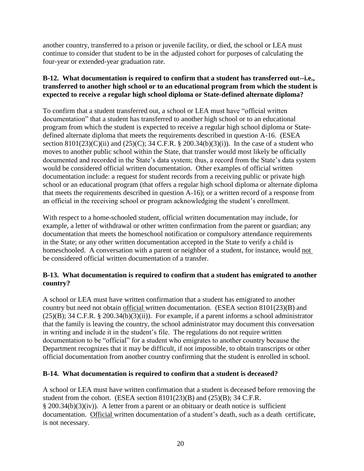another country, transferred to a prison or juvenile facility, or died, the school or LEA must continue to consider that student to be in the adjusted cohort for purposes of calculating the four-year or extended-year graduation rate.

## <span id="page-19-0"></span>**B-12. What documentation is required to confirm that a student has transferred out--i.e., transferred to another high school or to an educational program from which the student is expected to receive a regular high school diploma or State-defined alternate diploma?**

To confirm that a student transferred out, a school or LEA must have "official written documentation" that a student has transferred to another high school or to an educational program from which the student is expected to receive a regular high school diploma or Statedefined alternate diploma that meets the requirements described in question A-16. (ESEA section  $8101(23)(C)(ii)$  and  $(25)(C)$ ; 34 C.F.R. § 200.34(b)(3)(i)). In the case of a student who moves to another public school within the State, that transfer would most likely be officially documented and recorded in the State's data system; thus, a record from the State's data system would be considered official written documentation. Other examples of official written documentation include: a request for student records from a receiving public or private high school or an educational program (that offers a regular high school diploma or alternate diploma that meets the requirements described in question A-16); or a written record of a response from an official in the receiving school or program acknowledging the student's enrollment.

With respect to a home-schooled student, official written documentation may include, for example, a letter of withdrawal or other written confirmation from the parent or guardian; any documentation that meets the homeschool notification or compulsory attendance requirements in the State; or any other written documentation accepted in the State to verify a child is homeschooled. A conversation with a parent or neighbor of a student, for instance, would not be considered official written documentation of a transfer.

## <span id="page-19-1"></span>**B-13. What documentation is required to confirm that a student has emigrated to another country?**

A school or LEA must have written confirmation that a student has emigrated to another country but need not obtain official written documentation. (ESEA section 8101(23)(B) and  $(25)(B)$ ; 34 C.F.R. § 200.34(b)(3)(ii)). For example, if a parent informs a school administrator that the family is leaving the country, the school administrator may document this conversation in writing and include it in the student's file. The regulations do not require written documentation to be "official" for a student who emigrates to another country because the Department recognizes that it may be difficult, if not impossible, to obtain transcripts or other official documentation from another country confirming that the student is enrolled in school.

## <span id="page-19-2"></span>**B-14. What documentation is required to confirm that a student is deceased?**

A school or LEA must have written confirmation that a student is deceased before removing the student from the cohort. (ESEA section 8101(23)(B) and (25)(B); 34 C.F.R. § 200.34(b)(3)(iv)). A letter from a parent or an obituary or death notice is sufficient documentation. Official written documentation of a student's death, such as a death certificate, is not necessary.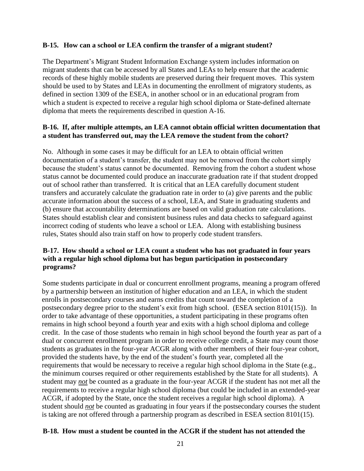#### <span id="page-20-0"></span>**B-15. How can a school or LEA confirm the transfer of a migrant student?**

The Department's Migrant Student Information Exchange system includes information on migrant students that can be accessed by all States and LEAs to help ensure that the academic records of these highly mobile students are preserved during their frequent moves. This system should be used to by States and LEAs in documenting the enrollment of migratory students, as defined in section 1309 of the ESEA, in another school or in an educational program from which a student is expected to receive a regular high school diploma or State-defined alternate diploma that meets the requirements described in question A-16.

#### <span id="page-20-1"></span>**B-16. If, after multiple attempts, an LEA cannot obtain official written documentation that a student has transferred out, may the LEA remove the student from the cohort?**

No. Although in some cases it may be difficult for an LEA to obtain official written documentation of a student's transfer, the student may not be removed from the cohort simply because the student's status cannot be documented. Removing from the cohort a student whose status cannot be documented could produce an inaccurate graduation rate if that student dropped out of school rather than transferred. It is critical that an LEA carefully document student transfers and accurately calculate the graduation rate in order to (a) give parents and the public accurate information about the success of a school, LEA, and State in graduating students and (b) ensure that accountability determinations are based on valid graduation rate calculations. States should establish clear and consistent business rules and data checks to safeguard against incorrect coding of students who leave a school or LEA. Along with establishing business rules, States should also train staff on how to properly code student transfers.

## <span id="page-20-2"></span>**B-17. How should a school or LEA count a student who has not graduated in four years with a regular high school diploma but has begun participation in postsecondary programs?**

Some students participate in dual or concurrent enrollment programs, meaning a program offered by a partnership between an institution of higher education and an LEA, in which the student enrolls in postsecondary courses and earns credits that count toward the completion of a postsecondary degree prior to the student's exit from high school. (ESEA section 8101(15)). In order to take advantage of these opportunities, a student participating in these programs often remains in high school beyond a fourth year and exits with a high school diploma and college credit. In the case of those students who remain in high school beyond the fourth year as part of a dual or concurrent enrollment program in order to receive college credit, a State may count those students as graduates in the four-year ACGR along with other members of their four-year cohort, provided the students have, by the end of the student's fourth year, completed all the requirements that would be necessary to receive a regular high school diploma in the State (e.g., the minimum courses required or other requirements established by the State for all students). A student may *not* be counted as a graduate in the four-year ACGR if the student has not met all the requirements to receive a regular high school diploma (but could be included in an extended-year ACGR, if adopted by the State, once the student receives a regular high school diploma). A student should *not* be counted as graduating in four years if the postsecondary courses the student is taking are not offered through a partnership program as described in ESEA section 8101(15).

#### <span id="page-20-3"></span>**B-18. How must a student be counted in the ACGR if the student has not attended the**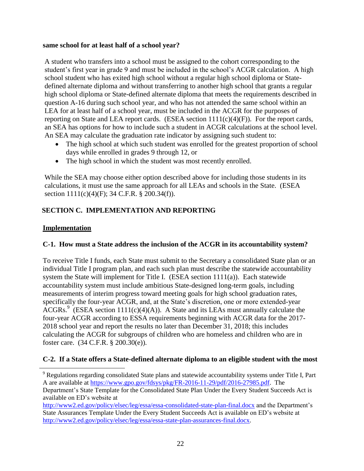#### **same school for at least half of a school year?**

A student who transfers into a school must be assigned to the cohort corresponding to the student's first year in grade 9 and must be included in the school's ACGR calculation. A high school student who has exited high school without a regular high school diploma or Statedefined alternate diploma and without transferring to another high school that grants a regular high school diploma or State-defined alternate diploma that meets the requirements described in question A-16 during such school year, and who has not attended the same school within an LEA for at least half of a school year, must be included in the ACGR for the purposes of reporting on State and LEA report cards. (ESEA section  $1111(c)(4)(F)$ ). For the report cards, an SEA has options for how to include such a student in ACGR calculations at the school level. An SEA may calculate the graduation rate indicator by assigning such student to:

- The high school at which such student was enrolled for the greatest proportion of school days while enrolled in grades 9 through 12, or
- The high school in which the student was most recently enrolled.

While the SEA may choose either option described above for including those students in its calculations, it must use the same approach for all LEAs and schools in the State. (ESEA section 1111(c)(4)(F); 34 C.F.R. § 200.34(f)).

# <span id="page-21-0"></span>**SECTION C. IMPLEMENTATION AND REPORTING**

## <span id="page-21-1"></span>**Implementation**

 $\overline{\phantom{a}}$ 

## <span id="page-21-2"></span>**C-1. How must a State address the inclusion of the ACGR in its accountability system?**

To receive Title I funds, each State must submit to the Secretary a consolidated State plan or an individual Title I program plan, and each such plan must describe the statewide accountability system the State will implement for Title I. (ESEA section 1111(a)). Each statewide accountability system must include ambitious State-designed long-term goals, including measurements of interim progress toward meeting goals for high school graduation rates, specifically the four-year ACGR, and, at the State's discretion, one or more extended-year  $\widehat{ACGRs}$ . (ESEA section 1111(c)(4)(A)). A State and its LEAs must annually calculate the four-year ACGR according to ESSA requirements beginning with ACGR data for the 2017- 2018 school year and report the results no later than December 31, 2018; this includes calculating the ACGR for subgroups of children who are homeless and children who are in foster care. (34 C.F.R. § 200.30(e)).

## <span id="page-21-3"></span>**C-2. If a State offers a State-defined alternate diploma to an eligible student with the most**

<sup>&</sup>lt;sup>9</sup> Regulations regarding consolidated State plans and statewide accountability systems under Title I, Part A are available at [https://www.gpo.gov/fdsys/pkg/FR-2016-11-29/pdf/2016-27985.pdf.](https://www.gpo.gov/fdsys/pkg/FR-2016-11-29/pdf/2016-27985.pdf) The Department's State Template for the Consolidated State Plan Under the Every Student Succeeds Act is available on ED's website at

<http://www2.ed.gov/policy/elsec/leg/essa/essa-consolidated-state-plan-final.docx> and the Department's State Assurances Template Under the Every Student Succeeds Act is available on ED's website at [http://www2.ed.gov/policy/elsec/leg/essa/essa-state-plan-assurances-final.docx.](http://www2.ed.gov/policy/elsec/leg/essa/essa-state-plan-assurances-final.docx)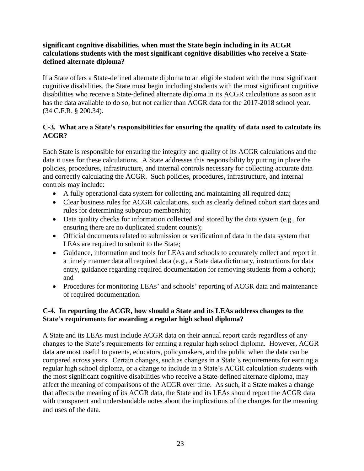## **significant cognitive disabilities, when must the State begin including in its ACGR calculations students with the most significant cognitive disabilities who receive a Statedefined alternate diploma?**

If a State offers a State-defined alternate diploma to an eligible student with the most significant cognitive disabilities, the State must begin including students with the most significant cognitive disabilities who receive a State-defined alternate diploma in its ACGR calculations as soon as it has the data available to do so, but not earlier than ACGR data for the 2017-2018 school year. (34 C.F.R. § 200.34).

## <span id="page-22-0"></span>**C-3. What are a State's responsibilities for ensuring the quality of data used to calculate its ACGR?**

Each State is responsible for ensuring the integrity and quality of its ACGR calculations and the data it uses for these calculations. A State addresses this responsibility by putting in place the policies, procedures, infrastructure, and internal controls necessary for collecting accurate data and correctly calculating the ACGR. Such policies, procedures, infrastructure, and internal controls may include:

- A fully operational data system for collecting and maintaining all required data;
- Clear business rules for ACGR calculations, such as clearly defined cohort start dates and rules for determining subgroup membership;
- Data quality checks for information collected and stored by the data system (e.g., for ensuring there are no duplicated student counts);
- Official documents related to submission or verification of data in the data system that LEAs are required to submit to the State;
- Guidance, information and tools for LEAs and schools to accurately collect and report in a timely manner data all required data (e.g., a State data dictionary, instructions for data entry, guidance regarding required documentation for removing students from a cohort); and
- Procedures for monitoring LEAs' and schools' reporting of ACGR data and maintenance of required documentation.

## <span id="page-22-1"></span>**C-4. In reporting the ACGR, how should a State and its LEAs address changes to the State's requirements for awarding a regular high school diploma?**

A State and its LEAs must include ACGR data on their annual report cards regardless of any changes to the State's requirements for earning a regular high school diploma. However, ACGR data are most useful to parents, educators, policymakers, and the public when the data can be compared across years. Certain changes, such as changes in a State's requirements for earning a regular high school diploma, or a change to include in a State's ACGR calculation students with the most significant cognitive disabilities who receive a State-defined alternate diploma, may affect the meaning of comparisons of the ACGR over time. As such, if a State makes a change that affects the meaning of its ACGR data, the State and its LEAs should report the ACGR data with transparent and understandable notes about the implications of the changes for the meaning and uses of the data.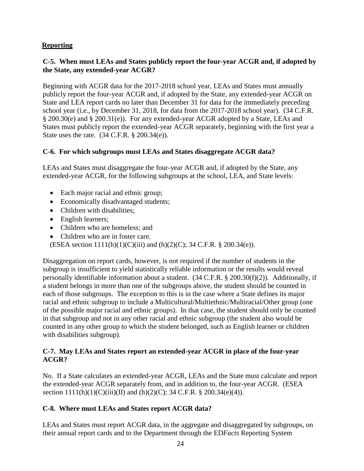# <span id="page-23-0"></span>**Reporting**

## <span id="page-23-1"></span>**C-5. When must LEAs and States publicly report the four-year ACGR and, if adopted by the State, any extended-year ACGR?**

Beginning with ACGR data for the 2017-2018 school year, LEAs and States must annually publicly report the four-year ACGR and, if adopted by the State, any extended-year ACGR on State and LEA report cards no later than December 31 for data for the immediately preceding school year (i.e., by December 31, 2018, for data from the 2017-2018 school year). (34 C.F.R. § 200.30(e) and § 200.31(e)). For any extended-year ACGR adopted by a State, LEAs and States must publicly report the extended-year ACGR separately, beginning with the first year a State uses the rate. (34 C.F.R. § 200.34(e)).

#### <span id="page-23-2"></span>**C-6. For which subgroups must LEAs and States disaggregate ACGR data?**

LEAs and States must disaggregate the four-year ACGR and, if adopted by the State, any extended-year ACGR, for the following subgroups at the school, LEA, and State levels:

- Each major racial and ethnic group;
- Economically disadvantaged students;
- Children with disabilities;
- English learners;
- Children who are homeless; and
- Children who are in foster care.

(ESEA section 1111(h)(1)(C)(iii) and (h)(2)(C); 34 C.F.R. § 200.34(e)).

Disaggregation on report cards, however, is not required if the number of students in the subgroup is insufficient to yield statistically reliable information or the results would reveal personally identifiable information about a student. (34 C.F.R. § 200.30(f)(2)). Additionally, if a student belongs in more than one of the subgroups above, the student should be counted in each of those subgroups. The exception to this is in the case where a State defines its major racial and ethnic subgroup to include a Multicultural/Multiethnic/Multiracial/Other group (one of the possible major racial and ethnic groups). In that case, the student should only be counted in that subgroup and not in any other racial and ethnic subgroup (the student also would be counted in any other group to which the student belonged, such as English learner or children with disabilities subgroup).

#### <span id="page-23-3"></span>**C-7. May LEAs and States report an extended-year ACGR in place of the four-year ACGR?**

No. If a State calculates an extended-year ACGR, LEAs and the State must calculate and report the extended-year ACGR separately from, and in addition to, the four-year ACGR. (ESEA section  $1111(h)(1)(C)(iii)(II)$  and  $(h)(2)(C)$ ; 34 C.F.R. § 200.34(e)(4)).

## <span id="page-23-4"></span>**C-8. Where must LEAs and States report ACGR data?**

LEAs and States must report ACGR data, in the aggregate and disaggregated by subgroups, on their annual report cards and to the Department through the ED*Facts* Reporting System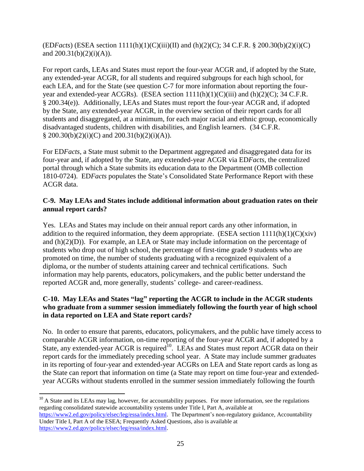$(EDFactors)$  (ESEA section  $1111(h)(1)(C)(iii)(II)$  and  $(h)(2)(C);$  34 C.F.R. § 200.30(b)(2)(i)(C) and  $200.31(b)(2)(i)(A)$ .

For report cards, LEAs and States must report the four-year ACGR and, if adopted by the State, any extended-year ACGR, for all students and required subgroups for each high school, for each LEA, and for the State (see question C-7 for more information about reporting the fouryear and extended-year ACGRs). (ESEA section  $1111(h)(1)(C(iii)$  and  $(h)(2)(C)$ ; 34 C.F.R. § 200.34(e)). Additionally, LEAs and States must report the four-year ACGR and, if adopted by the State, any extended-year ACGR, in the overview section of their report cards for all students and disaggregated, at a minimum, for each major racial and ethnic group, economically disadvantaged students, children with disabilities, and English learners. (34 C.F.R. § 200.30(b)(2)(i)(C) and 200.31(b)(2)(i)(A)).

For ED*Facts*, a State must submit to the Department aggregated and disaggregated data for its four-year and, if adopted by the State, any extended-year ACGR via ED*Facts*, the centralized portal through which a State submits its education data to the Department (OMB collection 1810-0724). ED*Facts* populates the State's Consolidated State Performance Report with these ACGR data.

## <span id="page-24-0"></span>**C-9. May LEAs and States include additional information about graduation rates on their annual report cards?**

Yes. LEAs and States may include on their annual report cards any other information, in addition to the required information, they deem appropriate. (ESEA section  $1111(h)(1)(C)(\dot{x}$ iv) and (h)(2)(D)). For example, an LEA or State may include information on the percentage of students who drop out of high school, the percentage of first-time grade 9 students who are promoted on time, the number of students graduating with a recognized equivalent of a diploma, or the number of students attaining career and technical certifications. Such information may help parents, educators, policymakers, and the public better understand the reported ACGR and, more generally, students' college- and career-readiness.

## <span id="page-24-1"></span>**C-10. May LEAs and States "lag" reporting the ACGR to include in the ACGR students who graduate from a summer session immediately following the fourth year of high school in data reported on LEA and State report cards?**

No. In order to ensure that parents, educators, policymakers, and the public have timely access to comparable ACGR information, on-time reporting of the four-year ACGR and, if adopted by a State, any extended-year ACGR is required<sup>10</sup>. LEAs and States must report ACGR data on their report cards for the immediately preceding school year. A State may include summer graduates in its reporting of four-year and extended-year ACGRs on LEA and State report cards as long as the State can report that information on time (a State may report on time four-year and extendedyear ACGRs without students enrolled in the summer session immediately following the fourth

<sup>10</sup> A State and its LEAs may lag, however, for accountability purposes. For more information, see the regulations regarding consolidated statewide accountability systems under Title I, Part A, available at [https://www2.ed.gov/policy/elsec/leg/essa/index.html.](https://www2.ed.gov/policy/elsec/leg/essa/index.html) The Department's non-regulatory guidance, Accountability Under Title I, Part A of the ESEA; Frequently Asked Questions, also is available at [https://www2.ed.gov/policy/elsec/leg/essa/index.html.](https://www2.ed.gov/policy/elsec/leg/essa/index.html)

 $\overline{a}$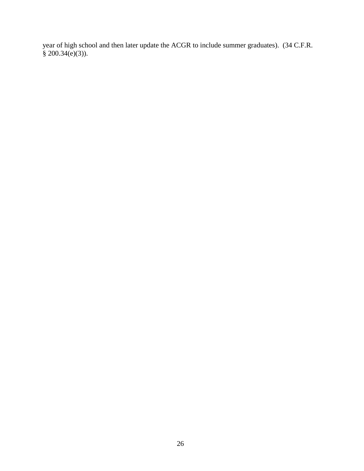year of high school and then later update the ACGR to include summer graduates). (34 C.F.R.  $\frac{1}{8}$  200.34(e)(3)).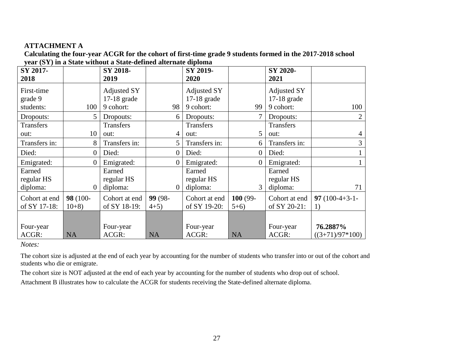## **ATTACHMENT A**

**Calculating the four-year ACGR for the cohort of first-time grade 9 students formed in the 2017-2018 school year (SY) in a State without a State-defined alternate diploma**

<span id="page-26-0"></span>

| SY 2017-<br>2018                 |                    | SY 2018-<br>2019                    |                  | SY 2019-<br>2020                    |                   | SY 2020-<br>2021                    |                               |
|----------------------------------|--------------------|-------------------------------------|------------------|-------------------------------------|-------------------|-------------------------------------|-------------------------------|
| First-time<br>grade 9            |                    | <b>Adjusted SY</b><br>$17-18$ grade |                  | <b>Adjusted SY</b><br>$17-18$ grade |                   | <b>Adjusted SY</b><br>$17-18$ grade |                               |
| students:                        | 100                | 9 cohort:                           | 98               | 9 cohort:                           | 99                | 9 cohort:                           | 100                           |
| Dropouts:                        | 5                  | Dropouts:                           | 6                | Dropouts:                           | 7                 | Dropouts:                           | $\overline{2}$                |
| <b>Transfers</b><br>out:         | 10                 | <b>Transfers</b><br>out:            | 4                | Transfers<br>out:                   | 5                 | Transfers<br>out:                   | $\overline{4}$                |
| Transfers in:                    | 8                  | Transfers in:                       | 5 <sup>5</sup>   | Transfers in:                       | 6                 | Transfers in:                       | 3                             |
| Died:                            | $\overline{0}$     | Died:                               | $\overline{0}$   | Died:                               | $\overline{0}$    | Died:                               |                               |
| Emigrated:                       | $\overline{0}$     | Emigrated:                          | $\overline{0}$   | Emigrated:                          | 0                 | Emigrated:                          |                               |
| Earned<br>regular HS<br>diploma: | $\overline{0}$     | Earned<br>regular HS<br>diploma:    | $\mathbf{0}$     | Earned<br>regular HS<br>diploma:    | 3                 | Earned<br>regular HS<br>diploma:    | 71                            |
| Cohort at end<br>of SY 17-18:    | 98 (100-<br>$10+8$ | Cohort at end<br>of SY 18-19:       | 99 (98-<br>$4+5$ | Cohort at end<br>of SY 19-20:       | 100 (99-<br>$5+6$ | Cohort at end<br>of SY 20-21:       | 97 $(100-4+3-1-$<br>1)        |
| Four-year<br>ACGR:               | <b>NA</b>          | Four-year<br>ACGR:                  | <b>NA</b>        | Four-year<br>ACGR:                  | <b>NA</b>         | Four-year<br>ACGR:                  | 76.2887%<br>$((3+71)/97*100)$ |

*Notes:* 

The cohort size is adjusted at the end of each year by accounting for the number of students who transfer into or out of the cohort and students who die or emigrate.

The cohort size is NOT adjusted at the end of each year by accounting for the number of students who drop out of school.

Attachment B illustrates how to calculate the ACGR for students receiving the State-defined alternate diploma.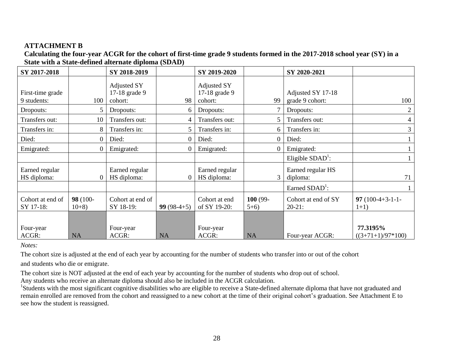## **ATTACHMENT B**

**Calculating the four-year ACGR for the cohort of first-time grade 9 students formed in the 2017-2018 school year (SY) in a State with a State-defined alternate diploma (SDAD)**

<span id="page-27-0"></span>

| SY 2017-2018                    |                    | SY 2018-2019                                   |                | SY 2019-2020                            |                   | SY 2020-2021                         |                                 |
|---------------------------------|--------------------|------------------------------------------------|----------------|-----------------------------------------|-------------------|--------------------------------------|---------------------------------|
| First-time grade<br>9 students: | 100                | <b>Adjusted SY</b><br>17-18 grade 9<br>cohort: | 98             | Adjusted SY<br>17-18 grade 9<br>cohort: | 99                | Adjusted SY 17-18<br>grade 9 cohort: | 100                             |
| Dropouts:                       |                    | Dropouts:                                      | 6              | Dropouts:                               |                   | Dropouts:                            | 2                               |
| Transfers out:                  | 10                 | Transfers out:                                 | 4              | Transfers out:                          | 5.                | Transfers out:                       | 4                               |
| Transfers in:                   | 8                  | Transfers in:                                  | 5              | Transfers in:                           | 6.                | Transfers in:                        | 3                               |
| Died:                           |                    | Died:                                          | 0              | Died:                                   | $\theta$          | Died:                                |                                 |
| Emigrated:                      | $\Omega$           | Emigrated:                                     | $\overline{0}$ | Emigrated:                              | $\overline{0}$    | Emigrated:                           |                                 |
|                                 |                    |                                                |                |                                         |                   | Eligible $SDAD^1$ :                  |                                 |
| Earned regular<br>HS diploma:   |                    | Earned regular<br>HS diploma:                  | $\theta$       | Earned regular<br>HS diploma:           | 3                 | Earned regular HS<br>diploma:        | 71                              |
|                                 |                    |                                                |                |                                         |                   | Earned SDAD <sup>1</sup> :           |                                 |
| Cohort at end of<br>SY 17-18:   | 98 (100-<br>$10+8$ | Cohort at end of<br>SY 18-19:                  | $99(98-4+5)$   | Cohort at end<br>of SY 19-20:           | 100 (99-<br>$5+6$ | Cohort at end of SY<br>$20-21:$      | 97 $(100-4+3-1-1-$<br>$1+1)$    |
| Four-year<br>ACGR:              | <b>NA</b>          | Four-year<br>ACGR:                             | <b>NA</b>      | Four-year<br>ACGR:                      | <b>NA</b>         | Four-year ACGR:                      | 77.3195%<br>$((3+71+1)/97*100)$ |

*Notes:* 

The cohort size is adjusted at the end of each year by accounting for the number of students who transfer into or out of the cohort

and students who die or emigrate.

The cohort size is NOT adjusted at the end of each year by accounting for the number of students who drop out of school.

Any students who receive an alternate diploma should also be included in the ACGR calculation.

<sup>1</sup>Students with the most significant cognitive disabilities who are eligible to receive a State-defined alternate diploma that have not graduated and remain enrolled are removed from the cohort and reassigned to a new cohort at the time of their original cohort's graduation. See Attachment E to see how the student is reassigned.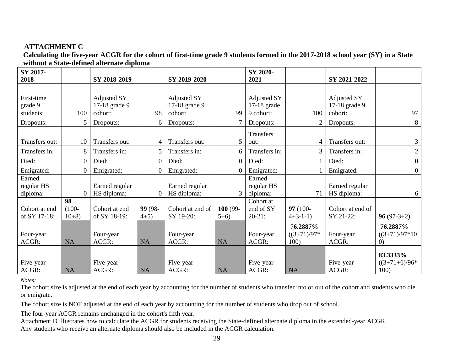# **ATTACHMENT C**

**Calculating the five-year ACGR for the cohort of first-time grade 9 students formed in the 2017-2018 school year (SY) in a State without a State-defined alternate diploma**

<span id="page-28-0"></span>

| SY 2017-       |                |                |                  |                  |            | SY 2020-           |                 |                  |                   |
|----------------|----------------|----------------|------------------|------------------|------------|--------------------|-----------------|------------------|-------------------|
| 2018           |                | SY 2018-2019   |                  | SY 2019-2020     |            | 2021               |                 | SY 2021-2022     |                   |
|                |                |                |                  |                  |            |                    |                 |                  |                   |
| First-time     |                | Adjusted SY    |                  | Adjusted SY      |            | <b>Adjusted SY</b> |                 | Adjusted SY      |                   |
| grade 9        |                | 17-18 grade 9  |                  | 17-18 grade 9    |            | $17-18$ grade      |                 | 17-18 grade 9    |                   |
| students:      | 100            | cohort:        | 98               | cohort:          | 99         | 9 cohort:          | 100             | cohort:          | 97                |
| Dropouts:      | 5              | Dropouts:      | 6                | Dropouts:        | 7          | Dropouts:          | 2               | Dropouts:        | 8                 |
|                |                |                |                  |                  |            | Transfers          |                 |                  |                   |
| Transfers out: | 10             | Transfers out: | 4                | Transfers out:   | 5          | out:               | 4               | Transfers out:   | 3                 |
| Transfers in:  | 8              | Transfers in:  | 5                | Transfers in:    | 6          | Transfers in:      | $\mathfrak{Z}$  | Transfers in:    | $\overline{2}$    |
| Died:          | $\overline{0}$ | Died:          | $\boldsymbol{0}$ | Died:            | $\theta$   | Died:              |                 | Died:            | $\boldsymbol{0}$  |
| Emigrated:     | $\Omega$       | Emigrated:     | $\theta$         | Emigrated:       | $\Omega$   | Emigrated:         |                 | Emigrated:       | $\overline{0}$    |
| Earned         |                |                |                  |                  |            | Earned             |                 |                  |                   |
| regular HS     |                | Earned regular |                  | Earned regular   |            | regular HS         |                 | Earned regular   |                   |
| diploma:       | $\theta$       | HS diploma:    | $\theta$         | HS diploma:      | 3          | diploma:           | 71              | HS diploma:      | 6                 |
|                | 98             |                |                  |                  |            | Cohort at          |                 |                  |                   |
| Cohort at end  | $(100 -$       | Cohort at end  | 99 (98-          | Cohort at end of | $100(99 -$ | end of SY          | $97(100 -$      | Cohort at end of |                   |
| of SY 17-18:   | $10+8$ )       | of SY 18-19:   | $4+5)$           | SY 19-20:        | $5+6$      | $20-21:$           | $4+3-1-1$       | SY 21-22:        | $96(97-3+2)$      |
|                |                |                |                  |                  |            |                    | 76.2887%        |                  | 76.2887%          |
| Four-year      |                | Four-year      |                  | Four-year        |            | Four-year          | $((3+71)/97)$ * | Four-year        | $((3+71)/97*10)$  |
| ACGR:          | <b>NA</b>      | ACGR:          | <b>NA</b>        | ACGR:            | <b>NA</b>  | ACGR:              | 100)            | ACGR:            | (0)               |
|                |                |                |                  |                  |            |                    |                 |                  | 83.3333%          |
| Five-year      |                | Five-year      |                  | Five-year        |            | Five-year          |                 | Five-year        | $((3+71+6)/96^*)$ |
| ACGR:          | <b>NA</b>      | ACGR:          | <b>NA</b>        | ACGR:            | <b>NA</b>  | ACGR:              | <b>NA</b>       | ACGR:            | 100)              |

*Notes:* 

The cohort size is adjusted at the end of each year by accounting for the number of students who transfer into or out of the cohort and students who die or emigrate.

The cohort size is NOT adjusted at the end of each year by accounting for the number of students who drop out of school.

The four-year ACGR remains unchanged in the cohort's fifth year.

Attachment D illustrates how to calculate the ACGR for students receiving the State-defined alternate diploma in the extended-year ACGR. Any students who receive an alternate diploma should also be included in the ACGR calculation.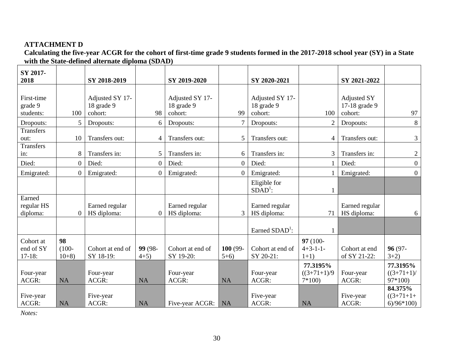# **ATTACHMENT D**

**Calculating the five-year ACGR for the cohort of first-time grade 9 students formed in the 2017-2018 school year (SY) in a State with the State-defined alternate diploma (SDAD)**

<span id="page-29-0"></span>

| SY 2017-<br>2018                   |                          | SY 2018-2019                             |                   | SY 2019-2020                             |                   | SY 2020-2021                             |                                       | SY 2021-2022                                   |                                       |
|------------------------------------|--------------------------|------------------------------------------|-------------------|------------------------------------------|-------------------|------------------------------------------|---------------------------------------|------------------------------------------------|---------------------------------------|
| First-time<br>grade 9<br>students: | 100                      | Adjusted SY 17-<br>18 grade 9<br>cohort: | 98                | Adjusted SY 17-<br>18 grade 9<br>cohort: | 99                | Adjusted SY 17-<br>18 grade 9<br>cohort: | 100                                   | <b>Adjusted SY</b><br>17-18 grade 9<br>cohort: | 97                                    |
| Dropouts:                          | 5                        | Dropouts:                                | 6                 | Dropouts:                                | $\tau$            | Dropouts:                                | 2                                     | Dropouts:                                      | 8                                     |
| Transfers<br>out:<br>Transfers     | 10                       | Transfers out:                           | 4                 | Transfers out:                           | 5                 | Transfers out:                           | 4                                     | Transfers out:                                 | $\mathfrak{Z}$                        |
| in:                                | 8                        | Transfers in:                            | 5                 | Transfers in:                            | 6                 | Transfers in:                            | 3                                     | Transfers in:                                  | $\overline{2}$                        |
| Died:                              | $\boldsymbol{0}$         | Died:                                    | $\boldsymbol{0}$  | Died:                                    | $\boldsymbol{0}$  | Died:                                    |                                       | Died:                                          | $\overline{0}$                        |
| Emigrated:                         | $\overline{0}$           | Emigrated:                               | $\overline{0}$    | Emigrated:                               | $\theta$          | Emigrated:                               |                                       | Emigrated:                                     | $\overline{0}$                        |
|                                    |                          |                                          |                   |                                          |                   | Eligible for<br>$SDAD1$ :                |                                       |                                                |                                       |
| Earned<br>regular HS<br>diploma:   | $\boldsymbol{0}$         | Earned regular<br>HS diploma:            | $\overline{0}$    | Earned regular<br>HS diploma:            | 3                 | Earned regular<br>HS diploma:            | 71                                    | Earned regular<br>HS diploma:                  | 6                                     |
|                                    |                          |                                          |                   |                                          |                   | Earned $SDAD1$ :                         |                                       |                                                |                                       |
| Cohort at<br>end of SY<br>$17-18:$ | 98<br>$(100 -$<br>$10+8$ | Cohort at end of<br>SY 18-19:            | 99 (98-<br>$4+5)$ | Cohort at end of<br>SY 19-20:            | 100 (99-<br>$5+6$ | Cohort at end of<br>SY 20-21:            | 97 (100-<br>$4+3-1-1-$<br>$1+1)$      | Cohort at end<br>of SY 21-22:                  | 96 (97-<br>$3+2)$                     |
| Four-year<br>ACGR:                 | <b>NA</b>                | Four-year<br>ACGR:                       | <b>NA</b>         | Four-year<br>ACGR:                       | <b>NA</b>         | Four-year<br>ACGR:                       | 77.3195%<br>$((3+71+1)/9)$<br>$7*100$ | Four-year<br>ACGR:                             | 77.3195%<br>$((3+71+1)/$<br>$97*100$  |
| Five-year<br>ACGR:                 | <b>NA</b>                | Five-year<br>ACGR:                       | <b>NA</b>         | Five-year ACGR:                          | <b>NA</b>         | Five-year<br>ACGR:                       | <b>NA</b>                             | Five-year<br>ACGR:                             | 84.375%<br>$((3+71+1)$<br>$6)/96*100$ |

*Notes:*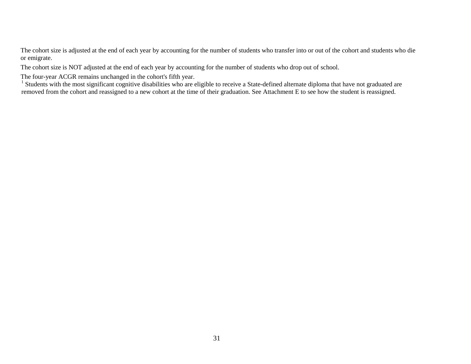The cohort size is adjusted at the end of each year by accounting for the number of students who transfer into or out of the cohort and students who die or emigrate.

The cohort size is NOT adjusted at the end of each year by accounting for the number of students who drop out of school.

The four-year ACGR remains unchanged in the cohort's fifth year.

 $1$  Students with the most significant cognitive disabilities who are eligible to receive a State-defined alternate diploma that have not graduated are removed from the cohort and reassigned to a new cohort at the time of their graduation. See Attachment E to see how the student is reassigned.